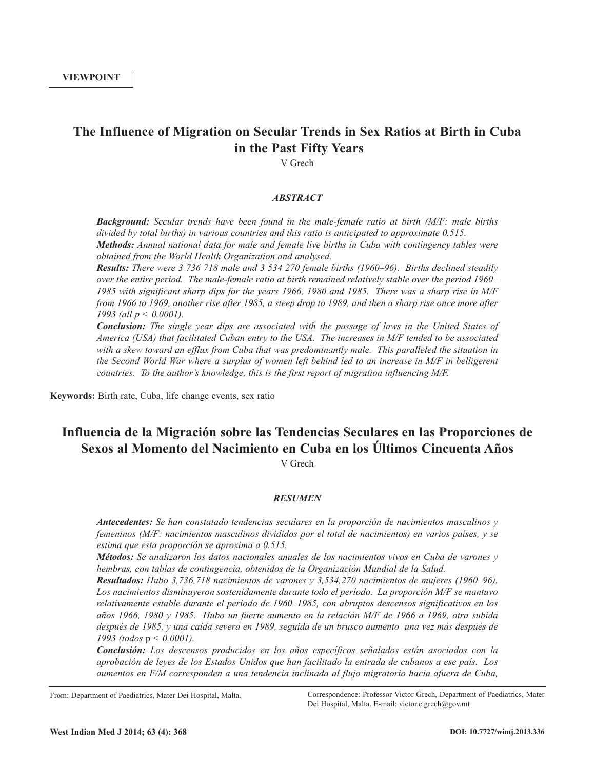## **The Influence of Migration on Secular Trends in Sex Ratios at Birth in Cuba in the Past Fifty Years**

V Grech

#### *ABSTRACT*

*Background: Secular trends have been found in the male-female ratio at birth (M/F: male births divided by total births) in various countries and this ratio is anticipated to approximate 0.515. Methods: Annual national data for male and female live births in Cuba with contingency tables were obtained from the World Health Organization and analysed.*

*Results: There were 3 736 718 male and 3 534 270 female births (1960–96). Births declined steadily over the entire period. The male-female ratio at birth remained relatively stable over the period 1960–* 1985 with significant sharp dips for the years 1966, 1980 and 1985. There was a sharp rise in M/F from 1966 to 1969, another rise after 1985, a steep drop to 1989, and then a sharp rise once more after *1993 (all p < 0.0001).*

*Conclusion: The single year dips are associated with the passage of laws in the United States of America (USA) that facilitated Cuban entry to the USA. The increases in M/F tended to be associated with a skew toward an efflux from Cuba that was predominantly male. This paralleled the situation in* the Second World War where a surplus of women left behind led to an increase in M/F in belligerent *countries. To the author's knowledge, this is the first report of migration influencing M/F.*

**Keywords:** Birth rate, Cuba, life change events, sex ratio

# **Influencia de la Migración sobre las Tendencias Seculares en las Proporciones de Sexos al Momento del Nacimiento en Cuba en los Últimos Cincuenta Años**

V Grech

### *RESUMEN*

*Antecedentes: Se han constatado tendencias seculares en la proporción de nacimientos masculinos y femeninos (M/F: nacimientos masculinos divididos por el total de nacimientos) en varios países, y se estima que esta proporción se aproxima a 0.515.*

*Métodos: Se analizaron los datos nacionales anuales de los nacimientos vivos en Cuba de varones y hembras, con tablas de contingencia, obtenidos de la Organización Mundial de la Salud.*

*Resultados: Hubo 3,736,718 nacimientos de varones y 3,534,270 nacimientos de mujeres (1960–96). Los nacimientos disminuyeron sostenidamente durante todo el período. La proporción M/F se mantuvo relativamente estable durante el período de 1960–1985, con abruptos descensos significativos en los* años 1966, 1980 y 1985. Hubo un fuerte aumento en la relación M/F de 1966 a 1969, otra subida después de 1985, y una caída severa en 1989, seguida de un brusco aumento una vez más después de *1993 (todos* p *< 0.0001).*

*Conclusión: Los descensos producidos en los años específicos señalados están asociados con la aprobación de leyes de los Estados Unidos que han facilitado la entrada de cubanos a ese país. Los aumentos en F/M corresponden a una tendencia inclinada al flujo migratorio hacia afuera de Cuba,*

From: Department of Paediatrics, Mater Dei Hospital, Malta. Correspondence: Professor Victor Grech, Department of Paediatrics, Mater Dei Hospital, Malta. E-mail: victor.e.grech@gov.mt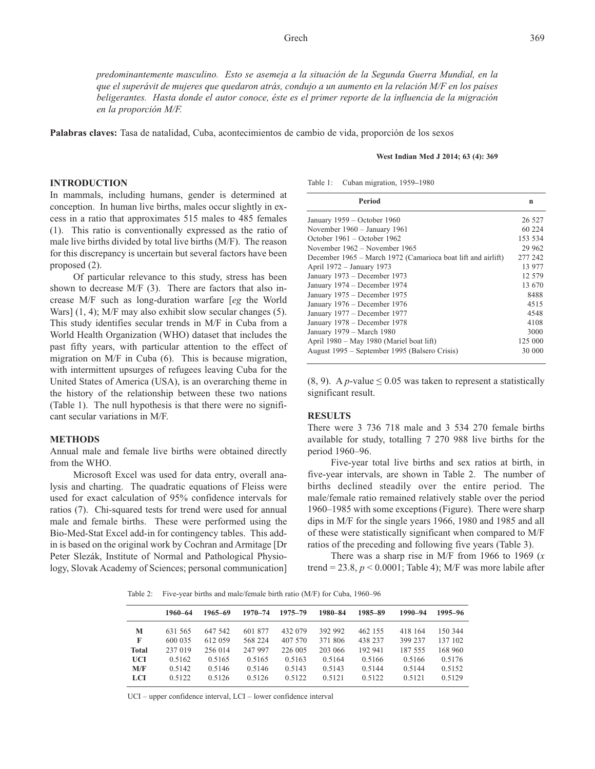*predominantemente masculino. Esto se asemeja a la situación de la Segunda Guerra Mundial, en la* que el superávit de mujeres que quedaron atrás, condujo a un aumento en la relación M/F en los países *beligerantes. Hasta donde el autor conoce, éste es el primer reporte de la influencia de la migración en la proporción M/F.*

**Palabras claves:** Tasa de natalidad, Cuba, acontecimientos de cambio de vida, proporción de los sexos

#### **West Indian Med J 2014; 63 (4): 369**

#### **INTRODUCTION**

In mammals, including humans, gender is determined at conception. In human live births, males occur slightly in excess in a ratio that approximates 515 males to 485 females (1). This ratio is conventionally expressed as the ratio of male live births divided by total live births (M/F). The reason for this discrepancy is uncertain but several factors have been proposed (2).

Of particular relevance to this study, stress has been shown to decrease M/F (3). There are factors that also increase M/F such as long-duration warfare [*eg* the World Wars] (1, 4); M/F may also exhibit slow secular changes (5). This study identifies secular trends in M/F in Cuba from a World Health Organization (WHO) dataset that includes the past fifty years, with particular attention to the effect of migration on M/F in Cuba (6). This is because migration, with intermittent upsurges of refugees leaving Cuba for the United States of America (USA), is an overarching theme in the history of the relationship between these two nations (Table 1). The null hypothesis is that there were no significant secular variations in M/F.

#### **METHODS**

Annual male and female live births were obtained directly from the WHO.

Microsoft Excel was used for data entry, overall analysis and charting. The quadratic equations of Fleiss were used for exact calculation of 95% confidence intervals for ratios (7). Chi-squared tests for trend were used for annual male and female births. These were performed using the Bio-Med-Stat Excel add-in for contingency tables. This addin is based on the original work by Cochran and Armitage [Dr Peter Slezák, Institute of Normal and Pathological Physiology, Slovak Academy of Sciences; personal communication]

Table 1: Cuban migration, 1959**–**1980

| Period                                                       | n       |
|--------------------------------------------------------------|---------|
| January $1959 - October 1960$                                | 26 527  |
| November $1960 - January 1961$                               | 60 224  |
| October $1961 -$ October 1962                                | 153 534 |
| November 1962 – November 1965                                | 29 962  |
| December 1965 – March 1972 (Camarioca boat lift and airlift) | 277 242 |
| April 1972 – January 1973                                    | 13 977  |
| January 1973 – December 1973                                 | 12.579  |
| January 1974 – December 1974                                 | 13 670  |
| January 1975 – December 1975                                 | 8488    |
| January 1976 - December 1976                                 | 4515    |
| January 1977 – December 1977                                 | 4548    |
| January 1978 - December 1978                                 | 4108    |
| January 1979 – March 1980                                    | 3000    |
| April 1980 – May 1980 (Mariel boat lift)                     | 125 000 |
| August 1995 – September 1995 (Balsero Crisis)                | 30 000  |

(8, 9). A *p*-value  $\leq 0.05$  was taken to represent a statistically significant result.

#### **RESULTS**

There were 3 736 718 male and 3 534 270 female births available for study, totalling 7 270 988 live births for the period 1960–96.

Five-year total live births and sex ratios at birth, in five-year intervals, are shown in Table 2. The number of births declined steadily over the entire period. The male/female ratio remained relatively stable over the period 1960–1985 with some exceptions (Figure). There were sharp dips in M/F for the single years 1966, 1980 and 1985 and all of these were statistically significant when compared to M/F ratios of the preceding and following five years (Table 3).

There was a sharp rise in M/F from 1966 to 1969 (*x* trend =  $23.8$ ,  $p < 0.0001$ ; Table 4); M/F was more labile after

Table 2: Five-year births and male/female birth ratio (M/F) for Cuba, 1960–96

|              | 1960–64 | 1965–69 | $1970 - 74$ | $1975 - 79$ | 1980-84 | 1985-89 | 1990-94 | 1995-96 |
|--------------|---------|---------|-------------|-------------|---------|---------|---------|---------|
| М            | 631 565 | 647 542 | 601 877     | 432 079     | 392 992 | 462 155 | 418 164 | 150 344 |
| F            | 600 035 | 612 059 | 568 224     | 407 570     | 371 806 | 438 237 | 399 237 | 137 102 |
| <b>Total</b> | 237 019 | 256 014 | 247 997     | 226 005     | 203 066 | 192 941 | 187 555 | 168 960 |
| <b>UCI</b>   | 0.5162  | 0.5165  | 0.5165      | 0.5163      | 0.5164  | 0.5166  | 0.5166  | 0.5176  |
| M/F          | 0.5142  | 0.5146  | 0.5146      | 0.5143      | 0.5143  | 0.5144  | 0.5144  | 0.5152  |
| <b>LCI</b>   | 0.5122  | 0.5126  | 0.5126      | 0.5122      | 0.5121  | 0.5122  | 0.5121  | 0.5129  |
|              |         |         |             |             |         |         |         |         |

UCI – upper confidence interval, LCI – lower confidence interval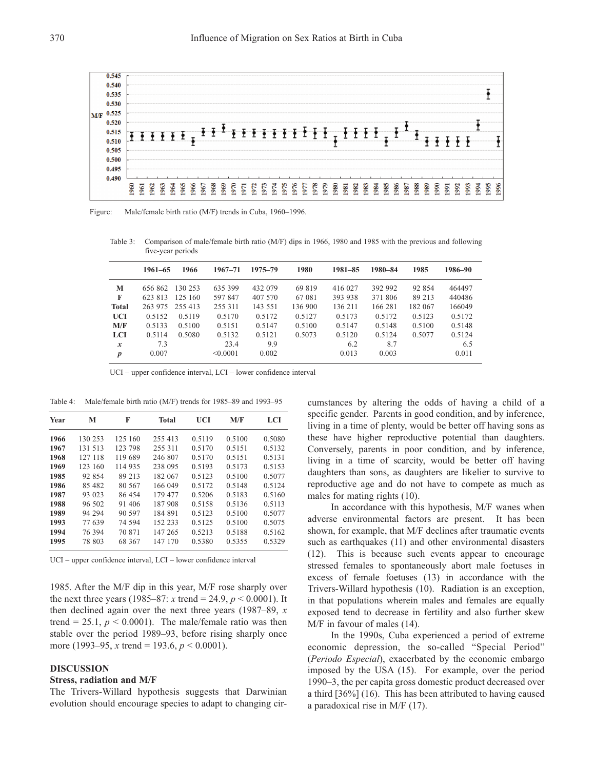

Figure: Male/female birth ratio (M/F) trends in Cuba, 1960–1996.

Table 3: Comparison of male/female birth ratio (M/F) dips in 1966, 1980 and 1985 with the previous and following five-year periods

|                  | $1961 - 65$ | 1966    | $1967 - 71$ | $1975 - 79$ | 1980    | $1981 - 85$ | 1980-84 | 1985    | 1986-90 |
|------------------|-------------|---------|-------------|-------------|---------|-------------|---------|---------|---------|
| М                | 656 862     | 130 253 | 635 399     | 432 079     | 69 819  | 416 027     | 392 992 | 92 854  | 464497  |
| F                | 623 813     | 125 160 | 597 847     | 407 570     | 67 081  | 393 938     | 371 806 | 89 213  | 440486  |
| <b>Total</b>     | 263 975     | 255 413 | 255 311     | 143 551     | 136 900 | 136 211     | 166 281 | 182 067 | 166049  |
| <b>UCI</b>       | 0.5152      | 0.5119  | 0.5170      | 0.5172      | 0.5127  | 0.5173      | 0.5172  | 0.5123  | 0.5172  |
| M/F              | 0.5133      | 0.5100  | 0.5151      | 0.5147      | 0.5100  | 0.5147      | 0.5148  | 0.5100  | 0.5148  |
| <b>LCI</b>       | 0.5114      | 0.5080  | 0.5132      | 0.5121      | 0.5073  | 0.5120      | 0.5124  | 0.5077  | 0.5124  |
| $\boldsymbol{x}$ | 7.3         |         | 23.4        | 9.9         |         | 6.2         | 8.7     |         | 6.5     |
| $\boldsymbol{p}$ | 0.007       |         | < 0.0001    | 0.002       |         | 0.013       | 0.003   |         | 0.011   |

UCI – upper confidence interval, LCI – lower confidence interval

Table 4: Male/female birth ratio (M/F) trends for 1985–89 and 1993–95

| Year | М       | F       | <b>Total</b> | UCI    | M/F    | LCI    |
|------|---------|---------|--------------|--------|--------|--------|
| 1966 | 130 253 | 125 160 | 255 413      | 0.5119 | 0.5100 | 0.5080 |
| 1967 | 131 513 | 123 798 | 255 311      | 0.5170 | 0.5151 | 0.5132 |
| 1968 | 127 118 | 119 689 | 246 807      | 0.5170 | 0.5151 | 0.5131 |
| 1969 | 123 160 | 114 935 | 238 095      | 0.5193 | 0.5173 | 0.5153 |
| 1985 | 92 854  | 89 213  | 182 067      | 0.5123 | 0.5100 | 0.5077 |
| 1986 | 85 482  | 80 567  | 166 049      | 0.5172 | 0.5148 | 0.5124 |
| 1987 | 93 023  | 86 454  | 179 477      | 0.5206 | 0.5183 | 0.5160 |
| 1988 | 96 502  | 91 406  | 187 908      | 0.5158 | 0.5136 | 0.5113 |
| 1989 | 94 294  | 90 597  | 184 891      | 0.5123 | 0.5100 | 0.5077 |
| 1993 | 77 639  | 74 594  | 152 233      | 0.5125 | 0.5100 | 0.5075 |
| 1994 | 76 394  | 70 871  | 147 265      | 0.5213 | 0.5188 | 0.5162 |
| 1995 | 78 803  | 68 367  | 147 170      | 0.5380 | 0.5355 | 0.5329 |

UCI – upper confidence interval, LCI – lower confidence interval

1985. After the M/F dip in this year, M/F rose sharply over the next three years (1985–87: *x* trend = 24.9,  $p < 0.0001$ ). It then declined again over the next three years (1987–89, *x* trend = 25.1,  $p < 0.0001$ ). The male/female ratio was then stable over the period 1989–93, before rising sharply once more (1993–95, *x* trend = 193.6, *p* < 0.0001).

#### **DISCUSSION**

#### **Stress, radiation and M/F**

The Trivers-Willard hypothesis suggests that Darwinian evolution should encourage species to adapt to changing circumstances by altering the odds of having a child of a specific gender. Parents in good condition, and by inference, living in a time of plenty, would be better off having sons as these have higher reproductive potential than daughters. Conversely, parents in poor condition, and by inference, living in a time of scarcity, would be better off having daughters than sons, as daughters are likelier to survive to reproductive age and do not have to compete as much as males for mating rights (10).

In accordance with this hypothesis, M/F wanes when adverse environmental factors are present. It has been shown, for example, that M/F declines after traumatic events such as earthquakes (11) and other environmental disasters (12). This is because such events appear to encourage stressed females to spontaneously abort male foetuses in excess of female foetuses (13) in accordance with the Trivers-Willard hypothesis (10). Radiation is an exception, in that populations wherein males and females are equally exposed tend to decrease in fertility and also further skew M/F in favour of males (14).

In the 1990s, Cuba experienced a period of extreme economic depression, the so-called "Special Period" (*Periodo Especial*), exacerbated by the economic embargo imposed by the USA (15). For example, over the period 1990–3, the per capita gross domestic product decreased over a third [36%] (16). This has been attributed to having caused a paradoxical rise in M/F (17).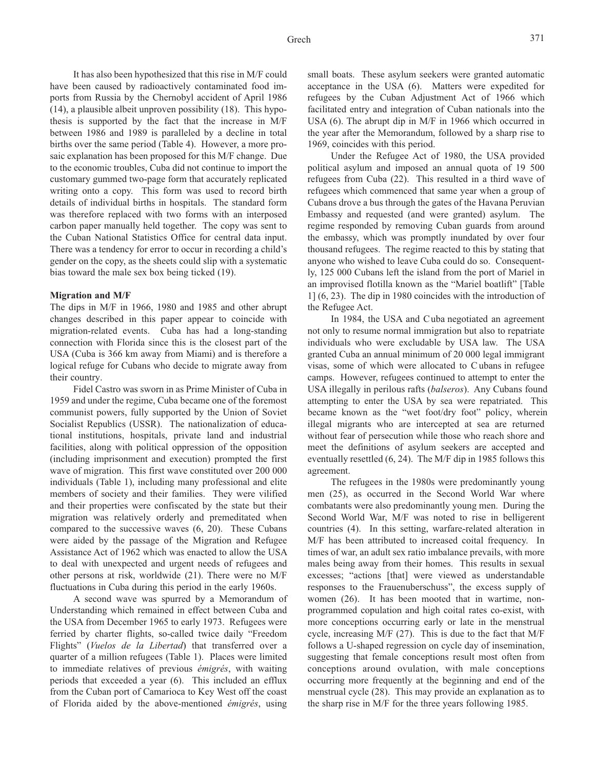It has also been hypothesized that this rise in M/F could have been caused by radioactively contaminated food imports from Russia by the Chernobyl accident of April 1986 (14), a plausible albeit unproven possibility (18). This hypothesis is supported by the fact that the increase in M/F between 1986 and 1989 is paralleled by a decline in total births over the same period (Table 4). However, a more prosaic explanation has been proposed for this M/F change. Due to the economic troubles, Cuba did not continue to import the customary gummed two-page form that accurately replicated writing onto a copy. This form was used to record birth details of individual births in hospitals. The standard form was therefore replaced with two forms with an interposed carbon paper manually held together. The copy was sent to the Cuban National Statistics Office for central data input. There was a tendency for error to occur in recording a child's gender on the copy, as the sheets could slip with a systematic bias toward the male sex box being ticked (19).

#### **Migration and M/F**

The dips in M/F in 1966, 1980 and 1985 and other abrupt changes described in this paper appear to coincide with migration-related events. Cuba has had a long-standing connection with Florida since this is the closest part of the USA (Cuba is 366 km away from Miami) and is therefore a logical refuge for Cubans who decide to migrate away from their country.

Fidel Castro was sworn in as Prime Minister of Cuba in 1959 and under the regime, Cuba became one of the foremost communist powers, fully supported by the Union of Soviet Socialist Republics (USSR). The nationalization of educational institutions, hospitals, private land and industrial facilities, along with political oppression of the opposition (including imprisonment and execution) prompted the first wave of migration. This first wave constituted over 200 000 individuals (Table 1), including many professional and elite members of society and their families. They were vilified and their properties were confiscated by the state but their migration was relatively orderly and premeditated when compared to the successive waves (6, 20). These Cubans were aided by the passage of the Migration and Refugee Assistance Act of 1962 which was enacted to allow the USA to deal with unexpected and urgent needs of refugees and other persons at risk, worldwide (21). There were no M/F fluctuations in Cuba during this period in the early 1960s.

A second wave was spurred by a Memorandum of Understanding which remained in effect between Cuba and the USA from December 1965 to early 1973. Refugees were ferried by charter flights, so-called twice daily "Freedom Flights" (*Vuelos de la Libertad*) that transferred over a quarter of a million refugees (Table 1). Places were limited to immediate relatives of previous *émigrés*, with waiting periods that exceeded a year (6). This included an efflux from the Cuban port of Camarioca to Key West off the coast of Florida aided by the above-mentioned *émigrés*, using

small boats. These asylum seekers were granted automatic acceptance in the USA (6). Matters were expedited for refugees by the Cuban Adjustment Act of 1966 which facilitated entry and integration of Cuban nationals into the USA (6). The abrupt dip in M/F in 1966 which occurred in the year after the Memorandum, followed by a sharp rise to 1969, coincides with this period.

Under the Refugee Act of 1980, the USA provided political asylum and imposed an annual quota of 19 500 refugees from Cuba (22). This resulted in a third wave of refugees which commenced that same year when a group of Cubans drove a bus through the gates of the Havana Peruvian Embassy and requested (and were granted) asylum. The regime responded by removing Cuban guards from around the embassy, which was promptly inundated by over four thousand refugees. The regime reacted to this by stating that anyone who wished to leave Cuba could do so. Consequently, 125 000 Cubans left the island from the port of Mariel in an improvised flotilla known as the "Mariel boatlift" [Table 1] (6, 23). The dip in 1980 coincides with the introduction of the Refugee Act.

In 1984, the USA and Cuba negotiated an agreement not only to resume normal immigration but also to repatriate individuals who were excludable by USA law. The USA granted Cuba an annual minimum of 20 000 legal immigrant visas, some of which were allocated to Cubans in refugee camps. However, refugees continued to attempt to enter the USA illegally in perilous rafts (*balseros*). Any Cubans found attempting to enter the USA by sea were repatriated. This became known as the "wet foot/dry foot" policy, wherein illegal migrants who are intercepted at sea are returned without fear of persecution while those who reach shore and meet the definitions of asylum seekers are accepted and eventually resettled (6, 24). The M/F dip in 1985 follows this agreement.

The refugees in the 1980s were predominantly young men (25), as occurred in the Second World War where combatants were also predominantly young men. During the Second World War, M/F was noted to rise in belligerent countries (4). In this setting, warfare-related alteration in M/F has been attributed to increased coital frequency. In times of war, an adult sex ratio imbalance prevails, with more males being away from their homes. This results in sexual excesses; "actions [that] were viewed as understandable responses to the Frauenuberschuss", the excess supply of women (26). It has been mooted that in wartime, nonprogrammed copulation and high coital rates co-exist, with more conceptions occurring early or late in the menstrual cycle, increasing M/F (27). This is due to the fact that M/F follows a U-shaped regression on cycle day of insemination, suggesting that female conceptions result most often from conceptions around ovulation, with male conceptions occurring more frequently at the beginning and end of the menstrual cycle (28). This may provide an explanation as to the sharp rise in M/F for the three years following 1985.